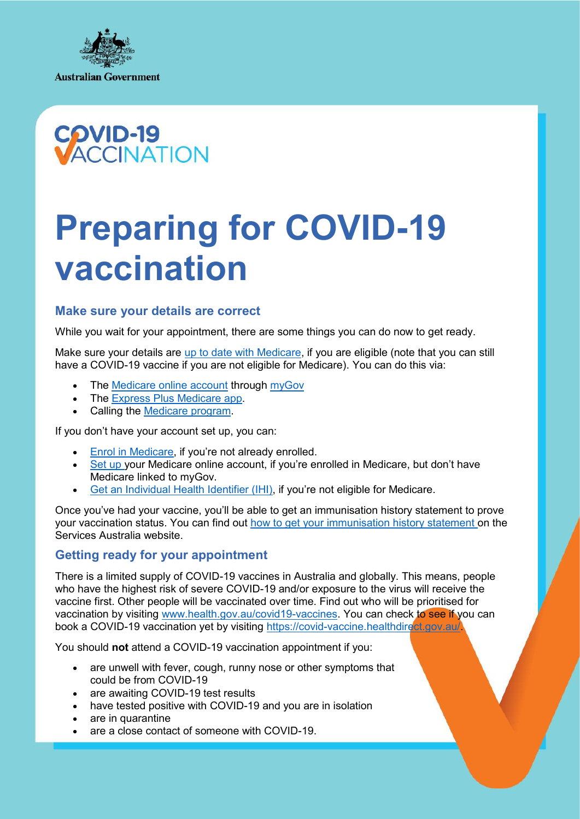



# **Preparing for COVID-19 vaccination**

## **Make sure your details are correct**

While you wait for your appointment, there are some things you can do now to get ready.

Make sure your details are up to date with Medicare, if you are eligible (note that you can still have a COVID-19 vaccine if you are not eligible for Medicare). You can do this via:

- The Medicare online account through myGov
- The Express Plus Medicare app.
- Calling the Medicare program.

If you don't have your account set up, you can:

- Enrol in Medicare, if you're not already enrolled.
- Set up your Medicare online account, if you're enrolled in Medicare, but don't have Medicare linked to myGov.
- Get an Individual Health Identifier (IHI), if you're not eligible for Medicare.

Once you've had your vaccine, you'll be able to get an immunisation history statement to prove your vaccination status. You can find out how to get your immunisation history statement on the Services Australia website.

## **Getting ready for your appointment**

There is a limited supply of COVID-19 vaccines in Australia and globally. This means, people who have the highest risk of severe COVID-19 and/or exposure to the virus will receive the vaccine first. Other people will be vaccinated over time. Find out who will be prioritised for vaccination by visiting www.health.gov.au/covid19-vaccines. You can check to see if you can book a COVID-19 vaccination yet by visiting https://covid-vaccine.healthdirect.gov.au/.

You should **not** attend a COVID-19 vaccination appointment if you:

- are unwell with fever, cough, runny nose or other symptoms that could be from COVID-19
- are awaiting COVID-19 test results
- have tested positive with COVID-19 and you are in isolation
- are in quarantine
- are a close contact of someone with COVID-19.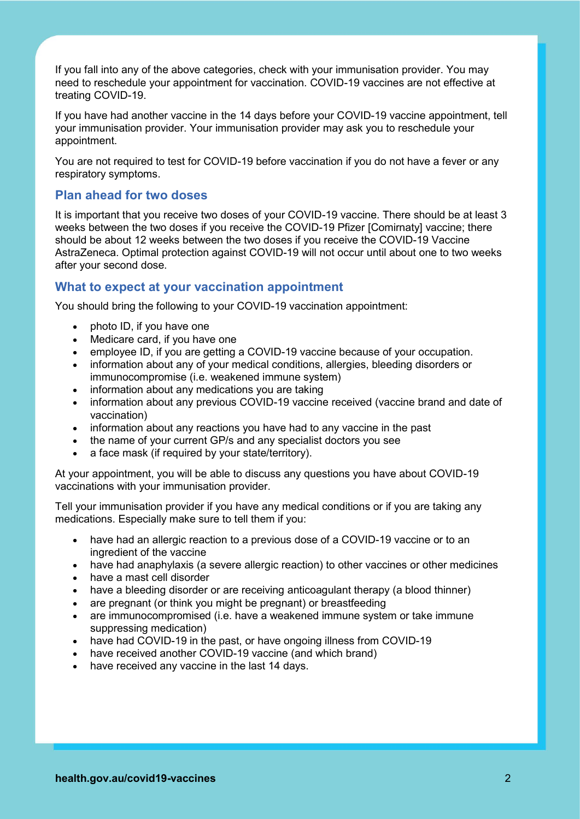If you fall into any of the above categories, check with your immunisation provider. You may need to reschedule your appointment for vaccination. COVID-19 vaccines are not effective at treating COVID-19.

If you have had another vaccine in the 14 days before your COVID-19 vaccine appointment, tell your immunisation provider. Your immunisation provider may ask you to reschedule your appointment.

You are not required to test for COVID-19 before vaccination if you do not have a fever or any respiratory symptoms.

### **Plan ahead for two doses**

It is important that you receive two doses of your COVID-19 vaccine. There should be at least 3 weeks between the two doses if you receive the COVID-19 Pfizer [Comirnaty] vaccine; there should be about 12 weeks between the two doses if you receive the COVID-19 Vaccine AstraZeneca. Optimal protection against COVID-19 will not occur until about one to two weeks after your second dose.

#### **What to expect at your vaccination appointment**

You should bring the following to your COVID-19 vaccination appointment:

- photo ID, if you have one
- Medicare card, if you have one
- employee ID, if you are getting a COVID-19 vaccine because of your occupation.
- information about any of your medical conditions, allergies, bleeding disorders or immunocompromise (i.e. weakened immune system)
- information about any medications you are taking
- information about any previous COVID-19 vaccine received (vaccine brand and date of vaccination)
- information about any reactions you have had to any vaccine in the past
- the name of your current GP/s and any specialist doctors you see
- a face mask (if required by your state/territory).

At your appointment, you will be able to discuss any questions you have about COVID-19 vaccinations with your immunisation provider.

Tell your immunisation provider if you have any medical conditions or if you are taking any medications. Especially make sure to tell them if you:

- have had an allergic reaction to a previous dose of a COVID-19 vaccine or to an ingredient of the vaccine
- have had anaphylaxis (a severe allergic reaction) to other vaccines or other medicines
- have a mast cell disorder
- have a bleeding disorder or are receiving anticoagulant therapy (a blood thinner)
- are pregnant (or think you might be pregnant) or breastfeeding
- are immunocompromised (i.e. have a weakened immune system or take immune suppressing medication)
- have had COVID-19 in the past, or have ongoing illness from COVID-19
- have received another COVID-19 vaccine (and which brand)
- have received any vaccine in the last 14 days.